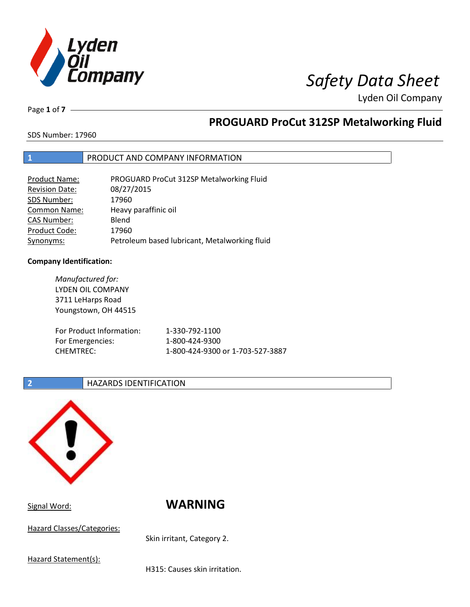

Page **1** of **7**

# **PROGUARD ProCut 312SP Metalworking Fluid**

SDS Number: 17960

## **1** PRODUCT AND COMPANY INFORMATION

| <b>Product Name:</b>  | PROGUARD ProCut 312SP Metalworking Fluid      |
|-----------------------|-----------------------------------------------|
| <b>Revision Date:</b> | 08/27/2015                                    |
| SDS Number:           | 17960                                         |
| <b>Common Name:</b>   | Heavy paraffinic oil                          |
| <b>CAS Number:</b>    | Blend                                         |
| Product Code:         | 17960                                         |
| Synonyms:             | Petroleum based lubricant, Metalworking fluid |

## **Company Identification:**

*Manufactured for:* LYDEN OIL COMPANY 3711 LeHarps Road Youngstown, OH 44515 For Product Information: 1-330-792-1100 For Emergencies: 1-800-424-9300 CHEMTREC: 1-800-424-9300 or 1-703-527-3887

## **2 HAZARDS IDENTIFICATION**



Signal Word: **WARNING**

Hazard Classes/Categories:

Skin irritant, Category 2.

Hazard Statement(s):

H315: Causes skin irritation.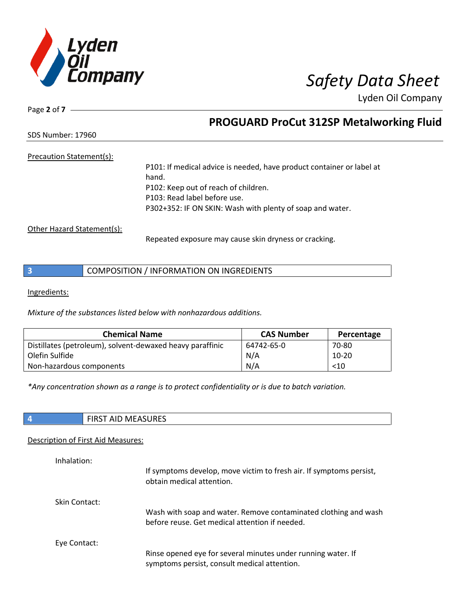

Page **2** of **7**

# **PROGUARD ProCut 312SP Metalworking Fluid**

SDS Number: 17960

## Precaution Statement(s):

P101: If medical advice is needed, have product container or label at hand. P102: Keep out of reach of children. P103: Read label before use. P302+352: IF ON SKIN: Wash with plenty of soap and water.

Other Hazard Statement(s):

Repeated exposure may cause skin dryness or cracking.

Ingredients:

*Mixture of the substances listed below with nonhazardous additions.*

| <b>Chemical Name</b>                                      | <b>CAS Number</b> | Percentage |
|-----------------------------------------------------------|-------------------|------------|
| Distillates (petroleum), solvent-dewaxed heavy paraffinic | 64742-65-0        | 70-80      |
| Olefin Sulfide                                            | N/A               | $10-20$    |
| Non-hazardous components                                  | N/A               | $<$ 10     |

*\*Any concentration shown as a range is to protect confidentiality or is due to batch variation.*

| w<br>נווטכר<br>. .<br>. |
|-------------------------|
|-------------------------|

## Description of First Aid Measures:

| Inhalation:   | If symptoms develop, move victim to fresh air. If symptoms persist,<br>obtain medical attention.                  |
|---------------|-------------------------------------------------------------------------------------------------------------------|
| Skin Contact: | Wash with soap and water. Remove contaminated clothing and wash<br>before reuse. Get medical attention if needed. |
| Eye Contact:  | Rinse opened eye for several minutes under running water. If<br>symptoms persist, consult medical attention.      |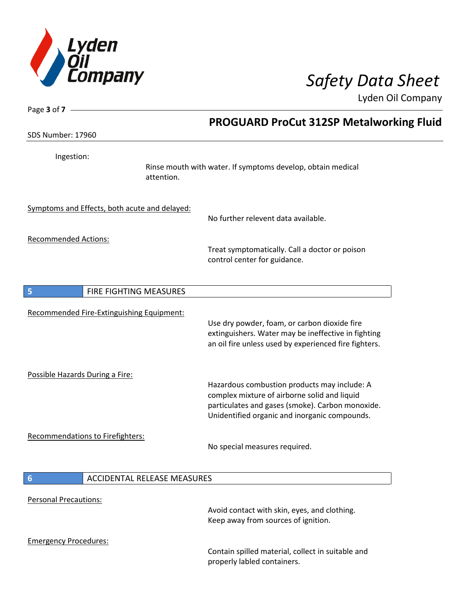

| Page $3$ of $7 -$                |                                                                                                                                                                                                           |
|----------------------------------|-----------------------------------------------------------------------------------------------------------------------------------------------------------------------------------------------------------|
|                                  | <b>PROGUARD ProCut 312SP Metalworking Fluid</b>                                                                                                                                                           |
| <b>SDS Number: 17960</b>         |                                                                                                                                                                                                           |
| Ingestion:                       | Rinse mouth with water. If symptoms develop, obtain medical<br>attention.                                                                                                                                 |
|                                  | Symptoms and Effects, both acute and delayed:<br>No further relevent data available.                                                                                                                      |
| <b>Recommended Actions:</b>      | Treat symptomatically. Call a doctor or poison<br>control center for guidance.                                                                                                                            |
| 5                                | FIRE FIGHTING MEASURES                                                                                                                                                                                    |
|                                  | Recommended Fire-Extinguishing Equipment:<br>Use dry powder, foam, or carbon dioxide fire<br>extinguishers. Water may be ineffective in fighting<br>an oil fire unless used by experienced fire fighters. |
| Possible Hazards During a Fire:  | Hazardous combustion products may include: A<br>complex mixture of airborne solid and liquid<br>particulates and gases (smoke). Carbon monoxide.<br>Unidentified organic and inorganic compounds.         |
| Recommendations to Firefighters: | No special measures required.                                                                                                                                                                             |
| $6\phantom{1}6$                  | <b>ACCIDENTAL RELEASE MEASURES</b>                                                                                                                                                                        |
| Personal Precautions:            | Avoid contact with skin, eyes, and clothing.<br>Keep away from sources of ignition.                                                                                                                       |
| <b>Emergency Procedures:</b>     | Contain spilled material, collect in suitable and<br>properly labled containers.                                                                                                                          |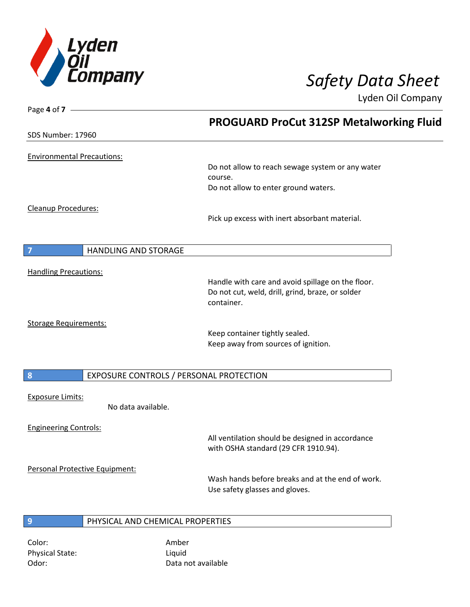

| Page 4 of 7                       |                                         |                                                                                                       |
|-----------------------------------|-----------------------------------------|-------------------------------------------------------------------------------------------------------|
|                                   |                                         | <b>PROGUARD ProCut 312SP Metalworking Fluid</b>                                                       |
| <b>SDS Number: 17960</b>          |                                         |                                                                                                       |
| <b>Environmental Precautions:</b> |                                         |                                                                                                       |
|                                   |                                         | Do not allow to reach sewage system or any water<br>course.                                           |
|                                   |                                         | Do not allow to enter ground waters.                                                                  |
| Cleanup Procedures:               |                                         |                                                                                                       |
|                                   |                                         | Pick up excess with inert absorbant material.                                                         |
|                                   | HANDLING AND STORAGE                    |                                                                                                       |
|                                   |                                         |                                                                                                       |
| <b>Handling Precautions:</b>      |                                         |                                                                                                       |
|                                   |                                         | Handle with care and avoid spillage on the floor.<br>Do not cut, weld, drill, grind, braze, or solder |
|                                   |                                         | container.                                                                                            |
| <b>Storage Requirements:</b>      |                                         |                                                                                                       |
|                                   |                                         | Keep container tightly sealed.                                                                        |
|                                   |                                         | Keep away from sources of ignition.                                                                   |
| 8                                 | EXPOSURE CONTROLS / PERSONAL PROTECTION |                                                                                                       |
|                                   |                                         |                                                                                                       |
| <b>Exposure Limits:</b>           | No data available.                      |                                                                                                       |
| <b>Engineering Controls:</b>      |                                         |                                                                                                       |
|                                   |                                         | All ventilation should be designed in accordance<br>with OSHA standard (29 CFR 1910.94).              |
|                                   | Personal Protective Equipment:          |                                                                                                       |
|                                   |                                         | Wash hands before breaks and at the end of work.<br>Use safety glasses and gloves.                    |
|                                   |                                         |                                                                                                       |
| 9                                 | PHYSICAL AND CHEMICAL PROPERTIES        |                                                                                                       |
| Color:                            | Amber                                   |                                                                                                       |

Physical State: Liquid

Odor: Data not available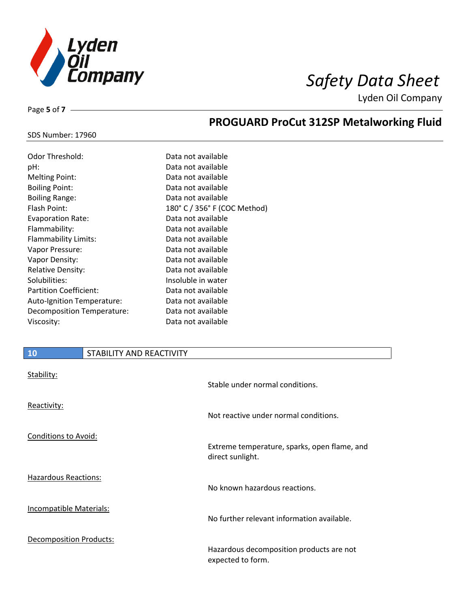

Page **5** of **7**

# **PROGUARD ProCut 312SP Metalworking Fluid**

### SDS Number: 17960

| Odor Threshold:               | Data not available           |
|-------------------------------|------------------------------|
| pH:                           | Data not available           |
| <b>Melting Point:</b>         | Data not available           |
| <b>Boiling Point:</b>         | Data not available           |
| <b>Boiling Range:</b>         | Data not available           |
| Flash Point:                  | 180° C / 356° F (COC Method) |
| <b>Evaporation Rate:</b>      | Data not available           |
| Flammability:                 | Data not available           |
| Flammability Limits:          | Data not available           |
| Vapor Pressure:               | Data not available           |
| Vapor Density:                | Data not available           |
| <b>Relative Density:</b>      | Data not available           |
| Solubilities:                 | Insoluble in water           |
| <b>Partition Coefficient:</b> | Data not available           |
| Auto-Ignition Temperature:    | Data not available           |
| Decomposition Temperature:    | Data not available           |
| Viscosity:                    | Data not available           |

# **10** STABILITY AND REACTIVITY

| Stability:                     | Stable under normal conditions.                                  |
|--------------------------------|------------------------------------------------------------------|
| Reactivity:                    | Not reactive under normal conditions.                            |
| <b>Conditions to Avoid:</b>    | Extreme temperature, sparks, open flame, and<br>direct sunlight. |
| <b>Hazardous Reactions:</b>    | No known hazardous reactions.                                    |
| <b>Incompatible Materials:</b> | No further relevant information available.                       |
| <b>Decomposition Products:</b> | Hazardous decomposition products are not<br>expected to form.    |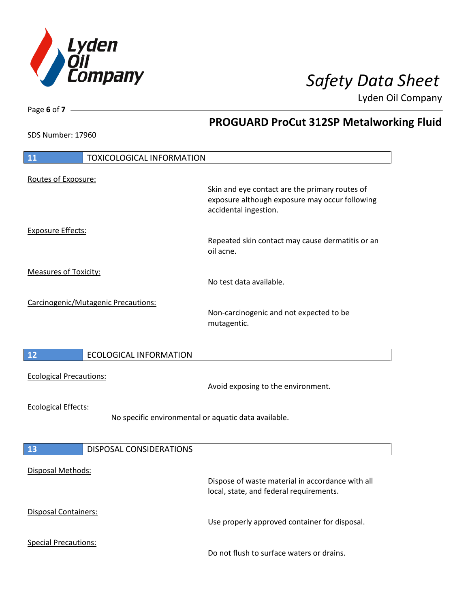

**PROGUARD ProCut 312SP Metalworking Fluid**

Lyden Oil Company

SDS Number: 17960

Page **6** of **7**

| <b>TOXICOLOGICAL INFORMATION</b><br><b>11</b>        |                                                                                                                           |
|------------------------------------------------------|---------------------------------------------------------------------------------------------------------------------------|
| Routes of Exposure:                                  |                                                                                                                           |
|                                                      | Skin and eye contact are the primary routes of<br>exposure although exposure may occur following<br>accidental ingestion. |
| <b>Exposure Effects:</b>                             |                                                                                                                           |
|                                                      | Repeated skin contact may cause dermatitis or an<br>oil acne.                                                             |
| <b>Measures of Toxicity:</b>                         |                                                                                                                           |
|                                                      | No test data available.                                                                                                   |
| Carcinogenic/Mutagenic Precautions:                  |                                                                                                                           |
|                                                      | Non-carcinogenic and not expected to be<br>mutagentic.                                                                    |
|                                                      |                                                                                                                           |
| <b>ECOLOGICAL INFORMATION</b><br>12                  |                                                                                                                           |
| <b>Ecological Precautions:</b>                       | Avoid exposing to the environment.                                                                                        |
| <b>Ecological Effects:</b>                           |                                                                                                                           |
| No specific environmental or aquatic data available. |                                                                                                                           |
|                                                      |                                                                                                                           |
| 13<br>DISPOSAL CONSIDERATIONS                        |                                                                                                                           |
|                                                      |                                                                                                                           |
| Disposal Methods:                                    | Dispose of waste material in accordance with all<br>local, state, and federal requirements.                               |
| Disposal Containers:                                 | Use properly approved container for disposal.                                                                             |
| <b>Special Precautions:</b>                          | Do not flush to surface waters or drains.                                                                                 |